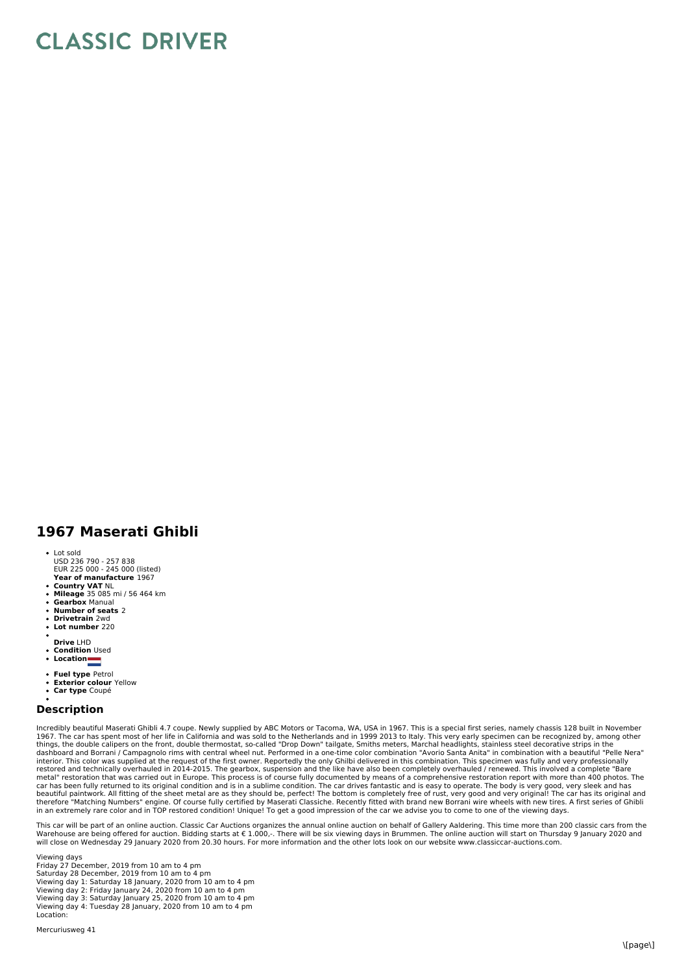## **CLASSIC DRIVER**

## **1967 Maserati Ghibli**

- Lot sold
- USD 236 790 257 838 EUR 225 000 245 000 (listed)
- **Year of manufacture** 1967
- **Country VAT** NL **Mileage** 35 085 mi / 56 464 km
- **Gearbox** Manual
- **Number of seats** 2 **Drivetrain** 2wd
- **Lot number** 220
- 
- **Drive** LHD
- $\ddot{\phantom{0}}$ **Condition** Used **Location**
- 
- **Fuel type** Petrol
- **Exterior colour** Yellow **Car type** Coupé
- 

## **Description**

Incredibly beautiful Maserati Ghibli 4.7 coupe. Newly supplied by ABC Motors or Tacoma, WA, USA in 1967. This is a special first series, namely chassis 128 built in November 1967. The car has spent most of her life in California and was sold to the Netherlands and in 1999 2013 to Italy. This very early specimen can be recognized by, among other<br>things, the double calipers on the front, double interior. This color was supplied at the request of the first owner. Reportedly the only Ghilbi delivered in this combination. This specimen was fully and very professionally<br>restored and technically overhauled in 2014-201 metal" restoration that was carried out in Europe. This process is of course fully documented by means of a comprehensive restoration report with more than 400 photos. The<br>car has been fully returned to its original condit

This car will be part of an online auction. Classic Car Auctions organizes the annual online auction on behalf of Gallery Aaldering. This time more than 200 classic cars from the<br>Warehouse are being offered for auction. B will close on Wednesday 29 January 2020 from 20.30 hours. For more information and the other lots look on our website www.classiccar-auctions.com.

Viewing days Friday 27 December, 2019 from 10 am to 4 pm Saturday 28 December, 2019 from 10 am to 4 pm Viewing day 1: Saturday 18 January, 2020 from 10 am to 4 pm<br>Viewing day 2: Friday January 24, 2020 from 10 am to 4 pm<br>Viewing day 3: Saturday January 25, 2020 from 10 am to 4 pm<br>Viewing day 4: Tuesday 28 January, 2020 from Location: